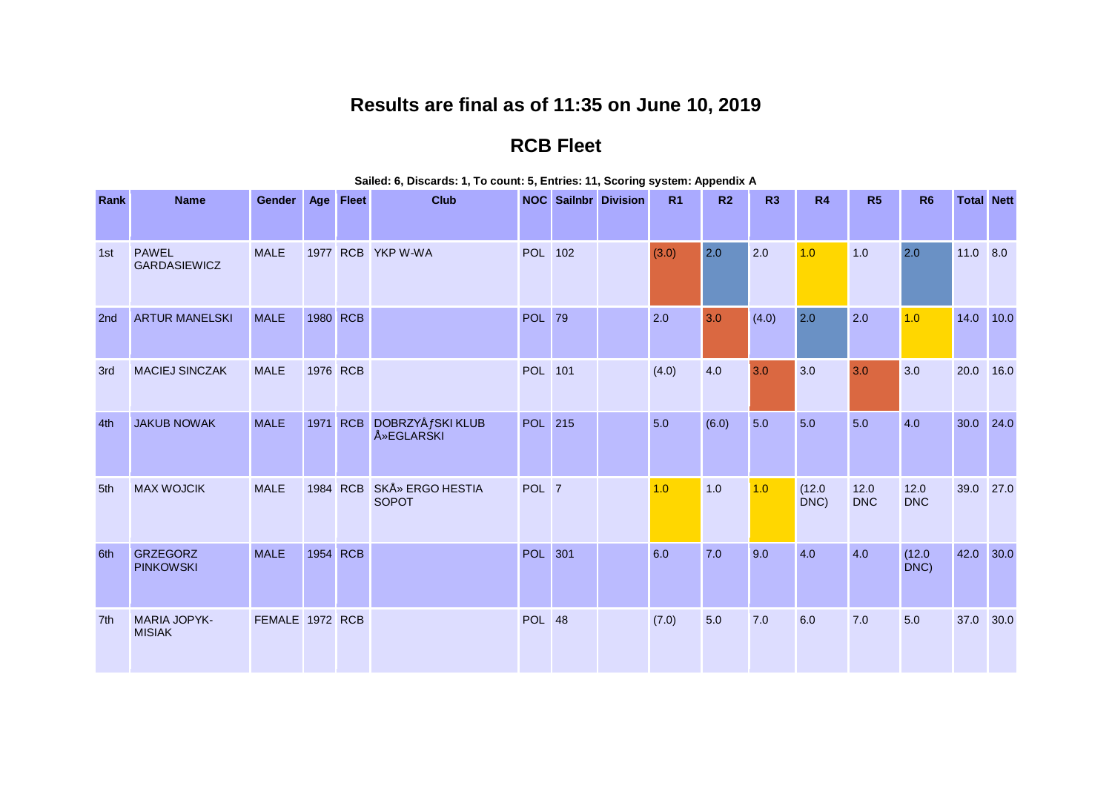## **Results are final as of 11:35 on June 10, 2019**

## **RCB Fleet**

| Rank | <b>Name</b>                          | <b>Gender</b>   | Age Fleet | <b>Club</b>                             |                | <b>NOC</b> Sailnbr Division | R <sub>1</sub> | R <sub>2</sub> | R3    | R4             | R5                 | R <sub>6</sub>     | <b>Total Nett</b> |      |
|------|--------------------------------------|-----------------|-----------|-----------------------------------------|----------------|-----------------------------|----------------|----------------|-------|----------------|--------------------|--------------------|-------------------|------|
|      |                                      |                 |           |                                         |                |                             |                |                |       |                |                    |                    |                   |      |
| 1st  | <b>PAWEL</b><br><b>GARDASIEWICZ</b>  | <b>MALE</b>     |           | 1977 RCB YKP W-WA                       | <b>POL</b> 102 |                             | (3.0)          | 2.0            | 2.0   | 1.0            | 1.0                | 2.0                | 11.0              | 8.0  |
| 2nd  | <b>ARTUR MANELSKI</b>                | <b>MALE</b>     | 1980 RCB  |                                         | <b>POL</b> 79  |                             | 2.0            | 3.0            | (4.0) | 2.0            | 2.0                | 1.0                | 14.0 10.0         |      |
| 3rd  | <b>MACIEJ SINCZAK</b>                | <b>MALE</b>     | 1976 RCB  |                                         | <b>POL</b> 101 |                             | (4.0)          | 4.0            | 3.0   | 3.0            | 3.0                | 3.0                | 20.0              | 16.0 |
| 4th  | <b>JAKUB NOWAK</b>                   | <b>MALE</b>     | 1971 RCB  | DOBRZYÅ fSKI KLUB<br><b>Å</b> »EGLARSKI | <b>POL</b> 215 |                             | 5.0            | (6.0)          | 5.0   | 5.0            | 5.0                | 4.0                | 30.0              | 24.0 |
| 5th  | <b>MAX WOJCIK</b>                    | <b>MALE</b>     | 1984 RCB  | <b>SKÅ» ERGO HESTIA</b><br><b>SOPOT</b> | POL 7          |                             | 1.0            | 1.0            | 1.0   | (12.0)<br>DNC) | 12.0<br><b>DNC</b> | 12.0<br><b>DNC</b> | 39.0              | 27.0 |
| 6th  | <b>GRZEGORZ</b><br><b>PINKOWSKI</b>  | <b>MALE</b>     | 1954 RCB  |                                         | <b>POL</b> 301 |                             | 6.0            | 7.0            | 9.0   | 4.0            | 4.0                | (12.0)<br>DNC)     | 42.0              | 30.0 |
| 7th  | <b>MARIA JOPYK-</b><br><b>MISIAK</b> | FEMALE 1972 RCB |           |                                         | <b>POL</b> 48  |                             | (7.0)          | 5.0            | 7.0   | 6.0            | 7.0                | 5.0                | 37.0              | 30.0 |

## **Sailed: 6, Discards: 1, To count: 5, Entries: 11, Scoring system: Appendix A**